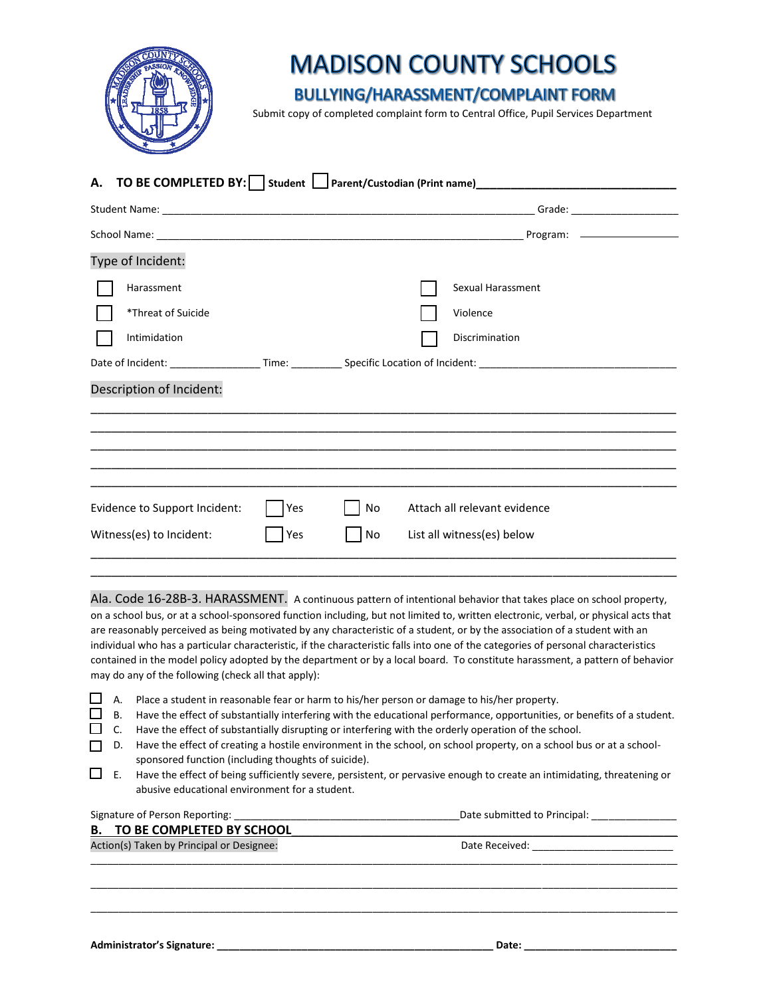

## **MADISON COUNTY SCHOOLS**

## **BULLYING/HARASSMENT/COMPLAINT FORM**

Submit copy of completed complaint form to Central Office, Pupil Services Department

| A. TO BE COMPLETED BY:   Student   Parent/Custodian (Print name) ___________________________________ |     |    |                              |  |
|------------------------------------------------------------------------------------------------------|-----|----|------------------------------|--|
|                                                                                                      |     |    |                              |  |
|                                                                                                      |     |    |                              |  |
| Type of Incident:                                                                                    |     |    |                              |  |
| Harassment                                                                                           |     |    | Sexual Harassment            |  |
| *Threat of Suicide                                                                                   |     |    | Violence                     |  |
| Intimidation                                                                                         |     |    | Discrimination               |  |
|                                                                                                      |     |    |                              |  |
| Description of Incident:                                                                             |     |    |                              |  |
|                                                                                                      |     |    |                              |  |
|                                                                                                      |     |    |                              |  |
|                                                                                                      |     |    |                              |  |
|                                                                                                      |     |    |                              |  |
| Evidence to Support Incident:                                                                        | Yes | No | Attach all relevant evidence |  |
| Witness(es) to Incident:                                                                             | Yes | No | List all witness(es) below   |  |
|                                                                                                      |     |    |                              |  |

Ala. Code 16-28B-3. HARASSMENT. A continuous pattern of intentional behavior that takes place on school property, on a school bus, or at a school-sponsored function including, but not limited to, written electronic, verbal, or physical acts that are reasonably perceived as being motivated by any characteristic of a student, or by the association of a student with an individual who has a particular characteristic, if the characteristic falls into one of the categories of personal characteristics contained in the model policy adopted by the department or by a local board. To constitute harassment, a pattern of behavior may do any of the following (check all that apply):

- $\Box$  A. Place a student in reasonable fear or harm to his/her person or damage to his/her property.
- $\Box$  B. Have the effect of substantially interfering with the educational performance, opportunities, or benefits of a student.
- $\Box$  C. Have the effect of substantially disrupting or interfering with the orderly operation of the school.
- D. Have the effect of creating a hostile environment in the school, on school property, on a school bus or at a schoolsponsored function (including thoughts of suicide).
- E. Have the effect of being sufficiently severe, persistent, or pervasive enough to create an intimidating, threatening or abusive educational environment for a student.

| Signature of Person Reporting:            | Date submitted to Principal: |
|-------------------------------------------|------------------------------|
| <b>B. TO BE COMPLETED BY SCHOOL</b>       |                              |
| Action(s) Taken by Principal or Designee: | Date Received:               |
|                                           |                              |
|                                           |                              |
|                                           |                              |
|                                           |                              |

\_\_\_\_\_\_\_\_\_\_\_\_\_\_\_\_\_\_\_\_\_\_\_\_\_\_\_\_\_\_\_\_\_\_\_\_\_\_\_\_\_\_\_\_\_\_\_\_\_\_\_\_\_\_\_\_\_\_\_\_\_\_\_\_\_\_\_\_\_\_\_\_\_\_\_\_\_\_\_\_\_\_\_\_\_\_\_\_\_\_\_\_\_\_\_\_\_\_\_\_\_\_\_\_